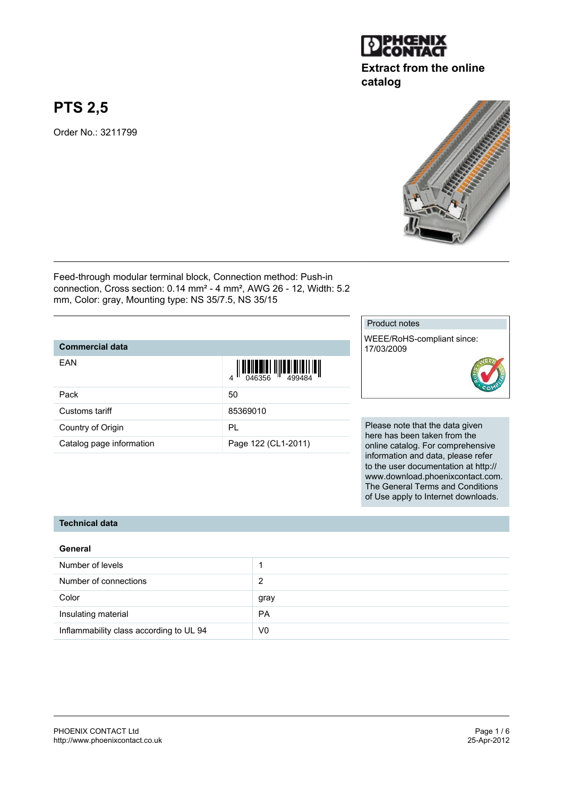

# **Extract from the online catalog**

# **PTS 2,5**

Order No.: 3211799



Feed-through modular terminal block, Connection method: Push-in connection, Cross section: 0.14 mm² - 4 mm², AWG 26 - 12, Width: 5.2 mm, Color: gray, Mounting type: NS 35/7.5, NS 35/15

#### **Commercial data**

| EAN                      | $\left\  \prod_{0.46356} \right\  \left\  \prod_{499484} \right\  \left\  \prod_{1 \leq j \leq 4} \right\ $ |
|--------------------------|-------------------------------------------------------------------------------------------------------------|
| Pack                     | 50                                                                                                          |
| Customs tariff           | 85369010                                                                                                    |
| Country of Origin        | PL                                                                                                          |
| Catalog page information | Page 122 (CL1-2011)                                                                                         |

Product notes

WEEE/RoHS-compliant since: 17/03/2009



Please note that the data given here has been taken from the online catalog. For comprehensive information and data, please refer to the user documentation at http:// www.download.phoenixcontact.com. The General Terms and Conditions of Use apply to Internet downloads.

#### **Technical data**

| General                                 |           |
|-----------------------------------------|-----------|
| Number of levels                        |           |
| Number of connections                   | 2         |
| Color                                   | gray      |
| Insulating material                     | <b>PA</b> |
| Inflammability class according to UL 94 | V0        |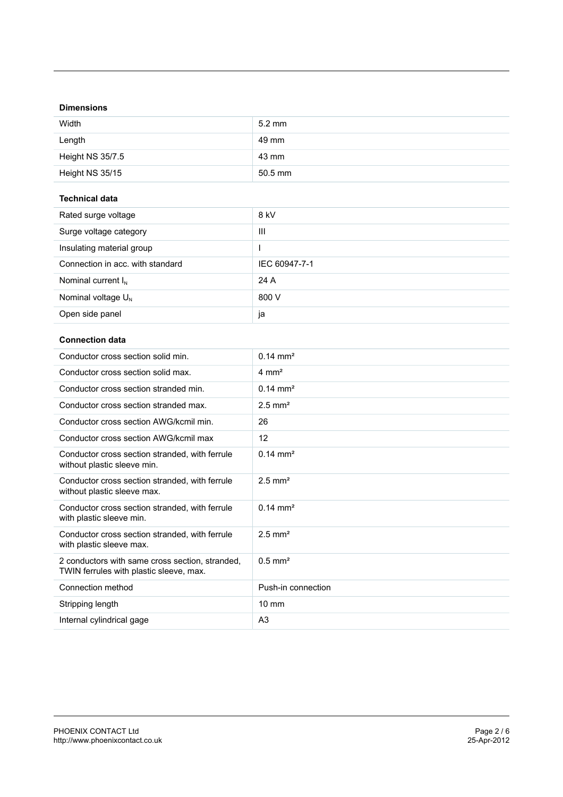## **Dimensions**

| Width            | $5.2 \text{ mm}$ |
|------------------|------------------|
| Length           | 49 mm            |
| Height NS 35/7.5 | 43 mm            |
| Height NS 35/15  | $50.5$ mm        |

#### **Technical data**

| Rated surge voltage              | 8 kV          |
|----------------------------------|---------------|
| Surge voltage category           | Ш             |
| Insulating material group        |               |
| Connection in acc. with standard | IEC 60947-7-1 |
| Nominal current $I_N$            | 24 A          |
| Nominal voltage $U_N$            | 800 V         |
| Open side panel                  | ja            |

## **Connection data**

| Conductor cross section solid min.                                                         | $0.14 \text{ mm}^2$   |
|--------------------------------------------------------------------------------------------|-----------------------|
| Conductor cross section solid max.                                                         | $4 \text{ mm}^2$      |
| Conductor cross section stranded min.                                                      | $0.14 \text{ mm}^2$   |
| Conductor cross section stranded max.                                                      | $2.5$ mm <sup>2</sup> |
| Conductor cross section AWG/kcmil min.                                                     | 26                    |
| Conductor cross section AWG/kcmil max                                                      | 12                    |
| Conductor cross section stranded, with ferrule<br>without plastic sleeve min.              | $0.14 \text{ mm}^2$   |
| Conductor cross section stranded, with ferrule<br>without plastic sleeve max.              | $2.5$ mm <sup>2</sup> |
| Conductor cross section stranded, with ferrule<br>with plastic sleeve min.                 | $0.14 \text{ mm}^2$   |
| Conductor cross section stranded, with ferrule<br>with plastic sleeve max.                 | $2.5$ mm <sup>2</sup> |
| 2 conductors with same cross section, stranded,<br>TWIN ferrules with plastic sleeve, max. | $0.5$ mm <sup>2</sup> |
| Connection method                                                                          | Push-in connection    |
| Stripping length                                                                           | $10 \text{ mm}$       |
| Internal cylindrical gage                                                                  | A <sub>3</sub>        |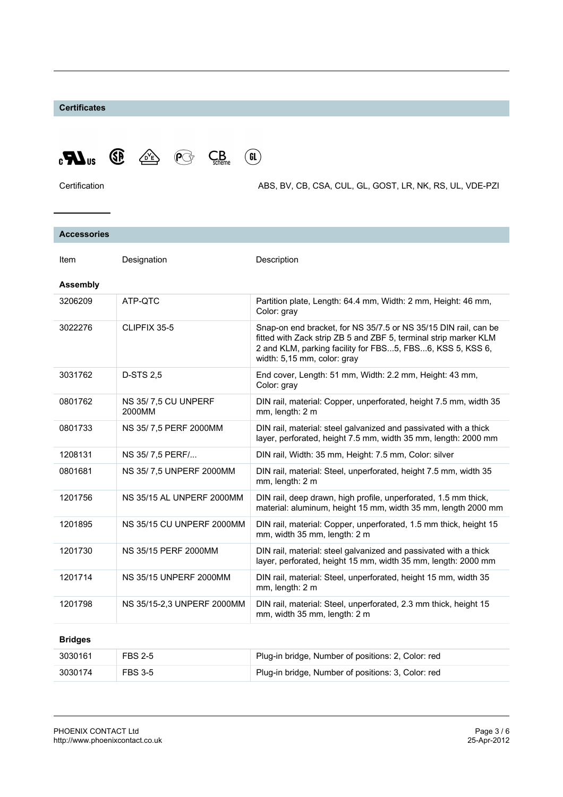#### **Certificates**



Certification ABS, BV, CB, CSA, CUL, GL, GOST, LR, NK, RS, UL, VDE-PZI

| <b>Accessories</b> |                               |                                                                                                                                                                                                                                 |
|--------------------|-------------------------------|---------------------------------------------------------------------------------------------------------------------------------------------------------------------------------------------------------------------------------|
| Item               | Designation                   | Description                                                                                                                                                                                                                     |
| <b>Assembly</b>    |                               |                                                                                                                                                                                                                                 |
| 3206209            | ATP-OTC                       | Partition plate, Length: 64.4 mm, Width: 2 mm, Height: 46 mm,<br>Color: gray                                                                                                                                                    |
| 3022276            | CLIPFIX 35-5                  | Snap-on end bracket, for NS 35/7.5 or NS 35/15 DIN rail, can be<br>fitted with Zack strip ZB 5 and ZBF 5, terminal strip marker KLM<br>2 and KLM, parking facility for FBS5, FBS6, KSS 5, KSS 6,<br>width: 5,15 mm, color: gray |
| 3031762            | <b>D-STS 2.5</b>              | End cover, Length: 51 mm, Width: 2.2 mm, Height: 43 mm,<br>Color: gray                                                                                                                                                          |
| 0801762            | NS 35/7,5 CU UNPERF<br>2000MM | DIN rail, material: Copper, unperforated, height 7.5 mm, width 35<br>mm, length: 2 m                                                                                                                                            |
| 0801733            | NS 35/7,5 PERF 2000MM         | DIN rail, material: steel galvanized and passivated with a thick<br>layer, perforated, height 7.5 mm, width 35 mm, length: 2000 mm                                                                                              |
| 1208131            | NS 35/7,5 PERF/               | DIN rail, Width: 35 mm, Height: 7.5 mm, Color: silver                                                                                                                                                                           |
| 0801681            | NS 35/7,5 UNPERF 2000MM       | DIN rail, material: Steel, unperforated, height 7.5 mm, width 35<br>mm, length: 2 m                                                                                                                                             |
| 1201756            | NS 35/15 AL UNPERF 2000MM     | DIN rail, deep drawn, high profile, unperforated, 1.5 mm thick,<br>material: aluminum, height 15 mm, width 35 mm, length 2000 mm                                                                                                |
| 1201895            | NS 35/15 CU UNPERF 2000MM     | DIN rail, material: Copper, unperforated, 1.5 mm thick, height 15<br>mm, width 35 mm, length: 2 m                                                                                                                               |
| 1201730            | NS 35/15 PERF 2000MM          | DIN rail, material: steel galvanized and passivated with a thick<br>layer, perforated, height 15 mm, width 35 mm, length: 2000 mm                                                                                               |
| 1201714            | <b>NS 35/15 UNPERF 2000MM</b> | DIN rail, material: Steel, unperforated, height 15 mm, width 35<br>mm, length: 2 m                                                                                                                                              |
| 1201798            | NS 35/15-2,3 UNPERF 2000MM    | DIN rail, material: Steel, unperforated, 2.3 mm thick, height 15<br>mm, width 35 mm, length: 2 m                                                                                                                                |
| <b>Bridges</b>     |                               |                                                                                                                                                                                                                                 |
| 3030161            | <b>FBS 2-5</b>                | Plug-in bridge, Number of positions: 2, Color: red                                                                                                                                                                              |
| 3030174            | <b>FBS 3-5</b>                | Plug-in bridge, Number of positions: 3, Color: red                                                                                                                                                                              |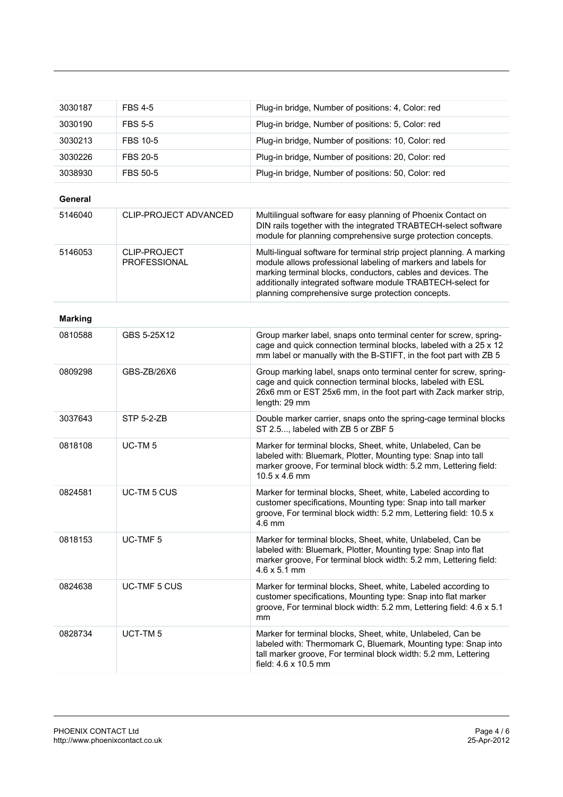| 3030187        | <b>FBS 4-5</b>               | Plug-in bridge, Number of positions: 4, Color: red                                                                                                                                                                                                                                                                         |
|----------------|------------------------------|----------------------------------------------------------------------------------------------------------------------------------------------------------------------------------------------------------------------------------------------------------------------------------------------------------------------------|
| 3030190        | <b>FBS 5-5</b>               | Plug-in bridge, Number of positions: 5, Color: red                                                                                                                                                                                                                                                                         |
| 3030213        | <b>FBS 10-5</b>              | Plug-in bridge, Number of positions: 10, Color: red                                                                                                                                                                                                                                                                        |
| 3030226        | <b>FBS 20-5</b>              | Plug-in bridge, Number of positions: 20, Color: red                                                                                                                                                                                                                                                                        |
| 3038930        | <b>FBS 50-5</b>              | Plug-in bridge, Number of positions: 50, Color: red                                                                                                                                                                                                                                                                        |
| General        |                              |                                                                                                                                                                                                                                                                                                                            |
| 5146040        | CLIP-PROJECT ADVANCED        | Multilingual software for easy planning of Phoenix Contact on<br>DIN rails together with the integrated TRABTECH-select software<br>module for planning comprehensive surge protection concepts.                                                                                                                           |
| 5146053        | CLIP-PROJECT<br>PROFESSIONAL | Multi-lingual software for terminal strip project planning. A marking<br>module allows professional labeling of markers and labels for<br>marking terminal blocks, conductors, cables and devices. The<br>additionally integrated software module TRABTECH-select for<br>planning comprehensive surge protection concepts. |
| <b>Marking</b> |                              |                                                                                                                                                                                                                                                                                                                            |
| 0810588        | GBS 5-25X12                  | Group marker label, snaps onto terminal center for screw, spring-<br>cage and quick connection terminal blocks, labeled with a 25 x 12<br>mm label or manually with the B-STIFT, in the foot part with ZB 5                                                                                                                |
| 0809298        | GBS-ZB/26X6                  | Group marking label, snaps onto terminal center for screw, spring-<br>cage and quick connection terminal blocks, labeled with ESL<br>26x6 mm or EST 25x6 mm, in the foot part with Zack marker strip,<br>length: 29 mm                                                                                                     |
| 3037643        | <b>STP 5-2-ZB</b>            | Double marker carrier, snaps onto the spring-cage terminal blocks<br>ST 2.5, labeled with ZB 5 or ZBF 5                                                                                                                                                                                                                    |
| 0818108        | UC-TM <sub>5</sub>           | Marker for terminal blocks, Sheet, white, Unlabeled, Can be<br>labeled with: Bluemark, Plotter, Mounting type: Snap into tall<br>marker groove, For terminal block width: 5.2 mm, Lettering field:<br>10.5 x 4.6 mm                                                                                                        |
| 0824581        | UC-TM 5 CUS                  | Marker for terminal blocks, Sheet, white, Labeled according to<br>customer specifications, Mounting type: Snap into tall marker<br>groove, For terminal block width: 5.2 mm, Lettering field: 10.5 x<br>$4.6 \text{ mm}$                                                                                                   |
| 0818153        | UC-TMF <sub>5</sub>          | Marker for terminal blocks, Sheet, white, Unlabeled, Can be<br>labeled with: Bluemark, Plotter, Mounting type: Snap into flat<br>marker groove, For terminal block width: 5.2 mm, Lettering field:<br>$4.6 \times 5.1 \text{ mm}$                                                                                          |
| 0824638        | UC-TMF 5 CUS                 | Marker for terminal blocks, Sheet, white, Labeled according to<br>customer specifications, Mounting type: Snap into flat marker<br>groove, For terminal block width: 5.2 mm, Lettering field: 4.6 x 5.1<br>mm                                                                                                              |
| 0828734        | UCT-TM <sub>5</sub>          | Marker for terminal blocks, Sheet, white, Unlabeled, Can be<br>labeled with: Thermomark C, Bluemark, Mounting type: Snap into<br>tall marker groove, For terminal block width: 5.2 mm, Lettering<br>field: 4.6 x 10.5 mm                                                                                                   |